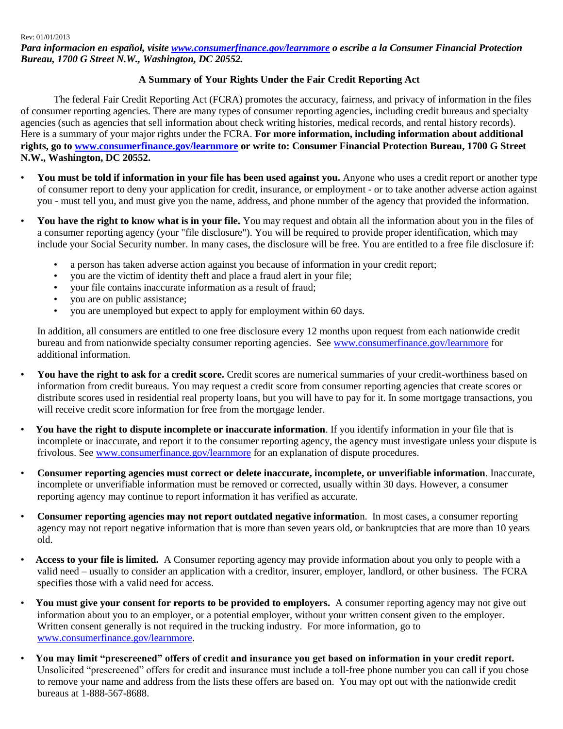## *Para informacion en español, visite [www.consumerfinance.gov/learnmore](http://www.consumerfinance.gov/learnmore) o escribe a la Consumer Financial Protection Bureau, 1700 G Street N.W., Washington, DC 20552.*

## **A Summary of Your Rights Under the Fair Credit Reporting Act**

The federal Fair Credit Reporting Act (FCRA) promotes the accuracy, fairness, and privacy of information in the files of consumer reporting agencies. There are many types of consumer reporting agencies, including credit bureaus and specialty agencies (such as agencies that sell information about check writing histories, medical records, and rental history records). Here is a summary of your major rights under the FCRA. **For more information, including information about additional rights, go to [www.consumerfinance.gov/learnmore](http://www.consumerfinance.gov/learnmore) or write to: Consumer Financial Protection Bureau, 1700 G Street N.W., Washington, DC 20552.**

- **You must be told if information in your file has been used against you.** Anyone who uses a credit report or another type of consumer report to deny your application for credit, insurance, or employment - or to take another adverse action against you - must tell you, and must give you the name, address, and phone number of the agency that provided the information.
- **You have the right to know what is in your file.** You may request and obtain all the information about you in the files of a consumer reporting agency (your "file disclosure"). You will be required to provide proper identification, which may include your Social Security number. In many cases, the disclosure will be free. You are entitled to a free file disclosure if:
	- a person has taken adverse action against you because of information in your credit report;
	- you are the victim of identity theft and place a fraud alert in your file;
	- your file contains inaccurate information as a result of fraud;
	- you are on public assistance;
	- you are unemployed but expect to apply for employment within 60 days.

In addition, all consumers are entitled to one free disclosure every 12 months upon request from each nationwide credit bureau and from nationwide specialty consumer reporting agencies. Se[e www.consumerfinance.gov/learnmore](http://www.consumerfinance.gov/learnmore) for additional information.

- **You have the right to ask for a credit score.** Credit scores are numerical summaries of your credit-worthiness based on information from credit bureaus. You may request a credit score from consumer reporting agencies that create scores or distribute scores used in residential real property loans, but you will have to pay for it. In some mortgage transactions, you will receive credit score information for free from the mortgage lender.
- **You have the right to dispute incomplete or inaccurate information**. If you identify information in your file that is incomplete or inaccurate, and report it to the consumer reporting agency, the agency must investigate unless your dispute is frivolous. See [www.consumerfinance.gov/learnmore](http://www.consumerfinance.gov/learnmore) for an explanation of dispute procedures.
- **Consumer reporting agencies must correct or delete inaccurate, incomplete, or unverifiable information**. Inaccurate, incomplete or unverifiable information must be removed or corrected, usually within 30 days. However, a consumer reporting agency may continue to report information it has verified as accurate.
- **Consumer reporting agencies may not report outdated negative informatio**n. In most cases, a consumer reporting agency may not report negative information that is more than seven years old, or bankruptcies that are more than 10 years old.
- **Access to your file is limited.** A Consumer reporting agency may provide information about you only to people with a valid need – usually to consider an application with a creditor, insurer, employer, landlord, or other business. The FCRA specifies those with a valid need for access.
- **You must give your consent for reports to be provided to employers.** A consumer reporting agency may not give out information about you to an employer, or a potential employer, without your written consent given to the employer. Written consent generally is not required in the trucking industry. For more information, go to [www.consumerfinance.gov/learnmore.](http://www.consumerfinance.gov/learnmore)
- **You may limit "prescreened" offers of credit and insurance you get based on information in your credit report.** Unsolicited "prescreened" offers for credit and insurance must include a toll-free phone number you can call if you chose to remove your name and address from the lists these offers are based on. You may opt out with the nationwide credit bureaus at 1-888-567-8688.